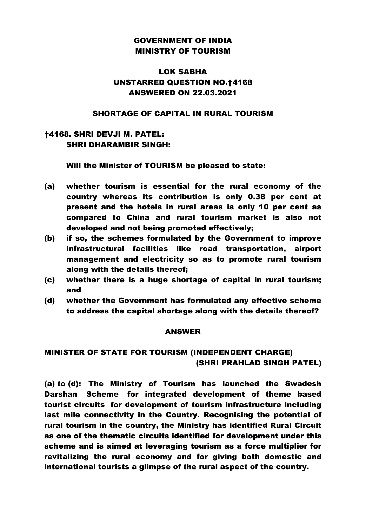# GOVERNMENT OF INDIA MINISTRY OF TOURISM

## LOK SABHA UNSTARRED QUESTION NO.†4168 ANSWERED ON 22.03.2021

### SHORTAGE OF CAPITAL IN RURAL TOURISM

## †4168. SHRI DEVJI M. PATEL: SHRI DHARAMBIR SINGH:

Will the Minister of TOURISM be pleased to state:

- (a) whether tourism is essential for the rural economy of the country whereas its contribution is only 0.38 per cent at present and the hotels in rural areas is only 10 per cent as compared to China and rural tourism market is also not developed and not being promoted effectively;
- (b) if so, the schemes formulated by the Government to improve infrastructural facilities like road transportation, airport management and electricity so as to promote rural tourism along with the details thereof;
- (c) whether there is a huge shortage of capital in rural tourism; and
- (d) whether the Government has formulated any effective scheme to address the capital shortage along with the details thereof?

### ANSWER

## MINISTER OF STATE FOR TOURISM (INDEPENDENT CHARGE) (SHRI PRAHLAD SINGH PATEL)

(a) to (d): The Ministry of Tourism has launched the Swadesh Darshan Scheme for integrated development of theme based tourist circuits for development of tourism infrastructure including last mile connectivity in the Country. Recognising the potential of rural tourism in the country, the Ministry has identified Rural Circuit as one of the thematic circuits identified for development under this scheme and is aimed at leveraging tourism as a force multiplier for revitalizing the rural economy and for giving both domestic and international tourists a glimpse of the rural aspect of the country.